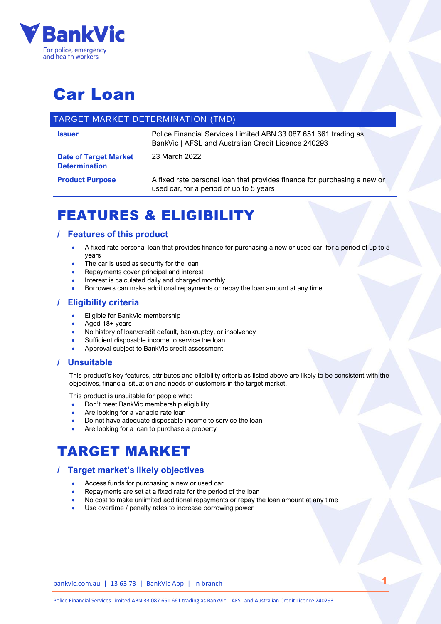

# Car Loan

## TARGET MARKET DETERMINATION (TMD)

| <b>Issuer</b>                                        | Police Financial Services Limited ABN 33 087 651 661 trading as<br>BankVic   AFSL and Australian Credit Licence 240293 |  |
|------------------------------------------------------|------------------------------------------------------------------------------------------------------------------------|--|
| <b>Date of Target Market</b><br><b>Determination</b> | 23 March 2022                                                                                                          |  |
| <b>Product Purpose</b>                               | A fixed rate personal loan that provides finance for purchasing a new or<br>used car, for a period of up to 5 years    |  |

## FEATURES & ELIGIBILITY

## **/ Features of this product**

- A fixed rate personal loan that provides finance for purchasing a new or used car, for a period of up to 5 years
- The car is used as security for the loan
- Repayments cover principal and interest
- Interest is calculated daily and charged monthly
- Borrowers can make additional repayments or repay the loan amount at any time

## **/ Eligibility criteria**

- Eligible for BankVic membership
- Aged 18+ years
- No history of loan/credit default, bankruptcy, or insolvency
- Sufficient disposable income to service the loan
- Approval subject to BankVic credit assessment

### **/ Unsuitable**

This product's key features, attributes and eligibility criteria as listed above are likely to be consistent with the objectives, financial situation and needs of customers in the target market.

This product is unsuitable for people who:

- Don't meet BankVic membership eligibility
- Are looking for a variable rate loan
- Do not have adequate disposable income to service the loan
- Are looking for a loan to purchase a property

## TARGET MARKET

### **/ Target market's likely objectives**

- Access funds for purchasing a new or used car
- Repayments are set at a fixed rate for the period of the loan
- No cost to make unlimited additional repayments or repay the loan amount at any time
- Use overtime / penalty rates to increase borrowing power

bankvic.com.au | 13 63 73 | BankVic App | In branch

1